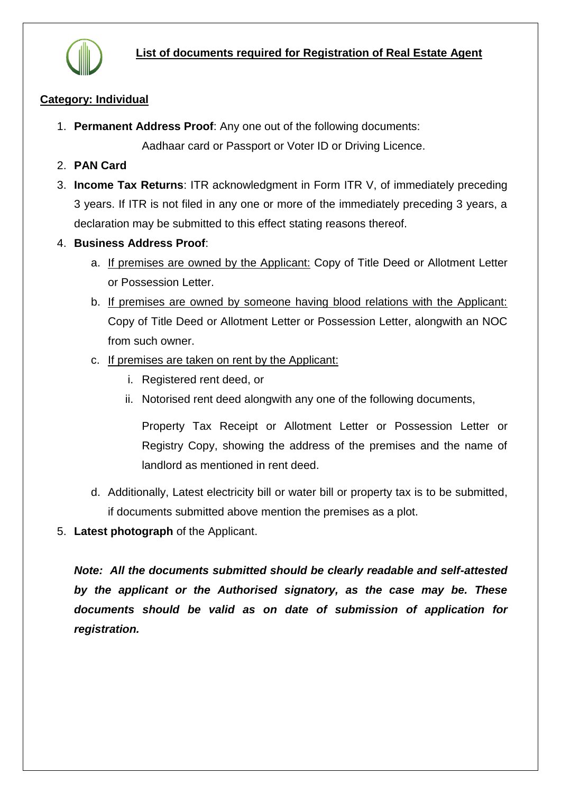

## **Category: Individual**

1. **Permanent Address Proof**: Any one out of the following documents:

Aadhaar card or Passport or Voter ID or Driving Licence.

- 2. **PAN Card**
- 3. **Income Tax Returns**: ITR acknowledgment in Form ITR V, of immediately preceding 3 years. If ITR is not filed in any one or more of the immediately preceding 3 years, a declaration may be submitted to this effect stating reasons thereof.
- 4. **Business Address Proof**:
	- a. If premises are owned by the Applicant: Copy of Title Deed or Allotment Letter or Possession Letter.
	- b. If premises are owned by someone having blood relations with the Applicant: Copy of Title Deed or Allotment Letter or Possession Letter, alongwith an NOC from such owner.
	- c. If premises are taken on rent by the Applicant:
		- i. Registered rent deed, or
		- ii. Notorised rent deed alongwith any one of the following documents,

Property Tax Receipt or Allotment Letter or Possession Letter or Registry Copy, showing the address of the premises and the name of landlord as mentioned in rent deed.

- d. Additionally, Latest electricity bill or water bill or property tax is to be submitted, if documents submitted above mention the premises as a plot.
- 5. **Latest photograph** of the Applicant.

*Note: All the documents submitted should be clearly readable and self-attested by the applicant or the Authorised signatory, as the case may be. These documents should be valid as on date of submission of application for registration.*